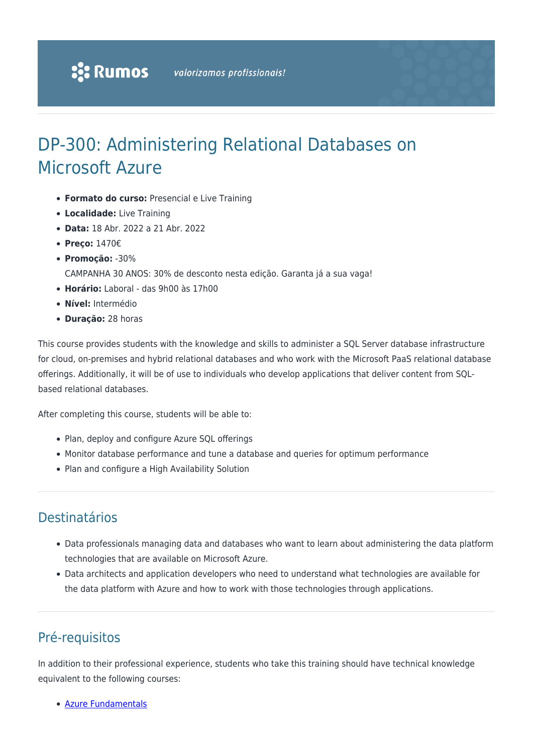# DP-300: Administering Relational Databases on Microsoft Azure

- **Formato do curso:** Presencial e Live Training
- **Localidade:** Live Training
- **Data:** 18 Abr. 2022 a 21 Abr. 2022
- **Preço:** 1470€
- **Promoção:** -30%
	- CAMPANHA 30 ANOS: 30% de desconto nesta edição. Garanta já a sua vaga!
- **Horário:** Laboral das 9h00 às 17h00
- **Nível:** Intermédio
- **Duração:** 28 horas

This course provides students with the knowledge and skills to administer a SQL Server database infrastructure for cloud, on-premises and hybrid relational databases and who work with the Microsoft PaaS relational database offerings. Additionally, it will be of use to individuals who develop applications that deliver content from SQLbased relational databases.

After completing this course, students will be able to:

- Plan, deploy and configure Azure SQL offerings
- Monitor database performance and tune a database and queries for optimum performance
- Plan and configure a High Availability Solution

## Destinatários

- Data professionals managing data and databases who want to learn about administering the data platform technologies that are available on Microsoft Azure.
- Data architects and application developers who need to understand what technologies are available for the data platform with Azure and how to work with those technologies through applications.

## Pré-requisitos

In addition to their professional experience, students who take this training should have technical knowledge equivalent to the following courses:

[Azure Fundamentals](https://rumos.pt/curso/az-900-microsoft-azure-fundamentals-1-dia-presencial-com-live-training/)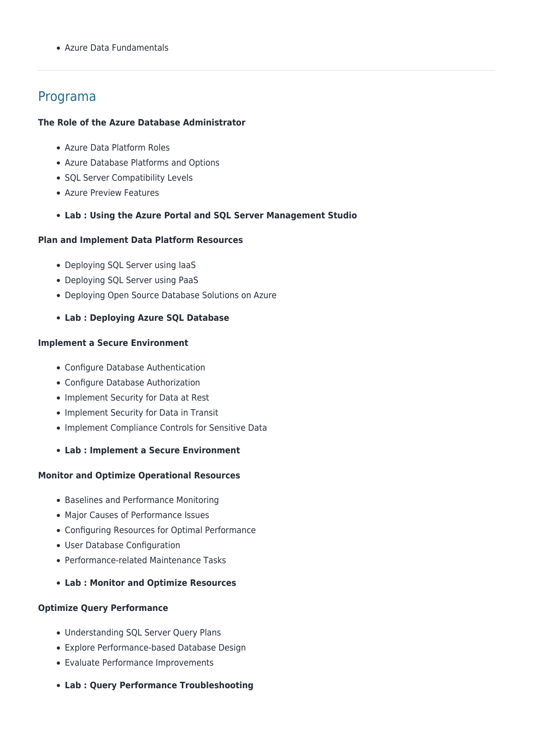Azure Data Fundamentals

### Programa

#### **The Role of the Azure Database Administrator**

- Azure Data Platform Roles
- Azure Database Platforms and Options
- SQL Server Compatibility Levels
- Azure Preview Features
- **Lab : Using the Azure Portal and SQL Server Management Studio**

#### **Plan and Implement Data Platform Resources**

- Deploying SQL Server using laaS
- Deploying SQL Server using PaaS
- Deploying Open Source Database Solutions on Azure
- **Lab : Deploying Azure SQL Database**

#### **Implement a Secure Environment**

- Configure Database Authentication
- Configure Database Authorization
- Implement Security for Data at Rest
- Implement Security for Data in Transit
- Implement Compliance Controls for Sensitive Data
- **Lab : Implement a Secure Environment**

#### **Monitor and Optimize Operational Resources**

- Baselines and Performance Monitoring
- Major Causes of Performance Issues
- Configuring Resources for Optimal Performance
- User Database Configuration
- Performance-related Maintenance Tasks
- **Lab : Monitor and Optimize Resources**

#### **Optimize Query Performance**

- Understanding SQL Server Query Plans
- Explore Performance-based Database Design
- Evaluate Performance Improvements
- **Lab : Query Performance Troubleshooting**